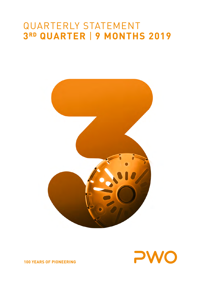# QUARTERLY STATEMENT **3RD QUARTER** | **9 MONTHS 2019**





**100 YEARS OF PIONEERING**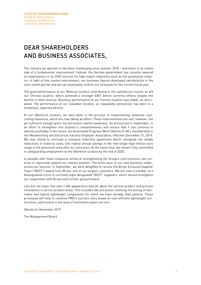## DEAR SHAREHOLDERS AND BUSINESS ASSOCIATES,

The industry we operate in has been challenging since autumn 2018 – and there is no visible sign of a fundamental improvement. Instead, the German government has recently lowered its expectations in its 2020 forecast for high-export industries such as the automotive industry. In light of this market environment, our business figures developed satisfactorily in the nine-month period, and we can essentially confirm our forecasts for the current fiscal year.

The good performance of our Mexican location contributed to the satisfactory results as did our Chinese location, which achieved a stronger EBIT before currency effects despite the decline in total revenue. Business performance at our Czechia location was stable, as anticipated. The performance at our Canadian location, as repeatedly announced, has been in a temporary, expected decline.

At our Oberkirch location, we have been in the process of implementing extensive costcutting measures, which are now taking an effect. These improvements are still, however, not yet sufficient enough given the persistent market weakness. As announced in September, in an effort to strengthen this location's competitiveness and ensure that it can continue to operate profitably in the future, we terminated Progress-Werk Oberkirch AG's membership in the Metalworking and Electrical Industry Employer Association, effective December 31, 2019. We now intend to conclude a company collective agreement which, alongside the steady reductions in material costs, will realize annual savings in the mid-single-digit million euro range in the personnel area after its conclusion. At the same time, we remain fully committed to safeguarding employment at the Oberkirch location by the end of 2020.

In parallel with these measures aimed at strengthening the Group's cost structure, we continue to vigorously expand our market position. The brisk pace in our new business underscores our success. In September, we were delighted to receive the Brose Exclusive Supplier Team ("BEST") award from Brose, one of our largest customers. We are now a member of a distinguished circle of currently eight designated "BEST" suppliers, which should strengthen our cooperation with Brose even further going forward.

Last but not least, this year's IAA appearance was all about the various product and process innovations in all our product areas. This includes two processes involving the joining of laminates and hybrid lightweight components for which we have already filed patents. These processes will help to continue PWO's success story based on cost-efficient lightweight construction, particularly in the area of instrument panel carriers.

Oberkirch, November 2019

The Management Board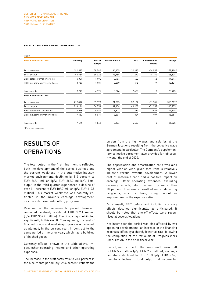#### **SELECTED SEGMENT AND GROUP INFORMATION**

| <b>EURK</b>                         |         |                                 |                      |        |                                 |          |
|-------------------------------------|---------|---------------------------------|----------------------|--------|---------------------------------|----------|
| First 9 months of 2019              | Germany | <b>Rest of</b><br><b>Europe</b> | <b>North America</b> | Asia   | <b>Consolidation</b><br>effects | Group    |
| Total revenue                       | 192,527 | 58,580                          | 84,675               | 32,383 | $-16,057$                       | 352,108* |
| Total output                        | 195,984 | 59,024                          | 75,985               | 31,297 | $-16,154$                       | 346,136  |
| <b>EBIT</b> before currency effects | 5,061   | 4,994                           | 2,904                | 1,403  | $-48$                           | 14,314   |
| EBIT including currency effects     | 3,729   | 4,981                           | 2,890                | 1,598  | $-77$                           | 13,121   |
| Investments                         | 9,940   | 6,195                           | 5,324                | 2,466  | 0                               | 23,925   |
| First 9 months of 2018              |         |                                 |                      |        |                                 |          |
| Total revenue                       | 219,812 | 57,378                          | 71,805               | 39,182 | $-31,505$                       | 356,672* |
| Total output                        | 218,136 | 56,753                          | 82,134               | 40,909 | $-31,957$                       | 365,975  |
| EBIT before currency effects        | 8,078   | 5,060                           | 3,622                | 1,331  | $-452$                          | 17,639   |
| EBIT including currency effects     | 7,532   | 5,071                           | 3,801                | 864    | $-407$                          | 16,861   |
| Investments                         | 7,694   | 7,562                           | 7,136                | 4,433  | 0                               | 26,825   |

\* External revenue

### RESULTS OF **OPERATIONS**

The total output in the first nine months reflected both the development of the series business and the current weakness in the automotive industry market environment, declining by 5.4 percent to EUR 346.1 million (p/y: EUR 366.0 million). Total output in the third quarter experienced a decline of even 9.1 percent to EUR 108.7 million (p/y: EUR 119.5 million). This market weakness was naturally reflected in the Group's earnings development, despite extensive cost-cutting programs.

Revenue in the nine-month period, however, remained relatively stable at EUR 352.1 million (p/y: EUR 356.7 million). Tool invoicing contributed significantly to this result. Consequently, the level of finished goods and work-in-progress was reduced, as planned, in the current year, in contrast to the same period of the prior year, which had a build-up of finished goods.

Currency effects, shown in the table above, impact other operating income and other operating expenses.

The increase in the staff costs ratio to 28.1 percent in the nine-month period (p/y: 26.4 percent) reflects the

burden from the high wages and salaries at the German locations resulting from the collective wage agreement, in particular. The Company's supplementary collective agreement also provides for job security until the end of 2020.

The depreciation and amortization ratio was also higher year-on-year, given that item is relatively inelastic versus revenue development. A lower cost of materials ratio had a positive impact on earnings. Other operating expenses, excluding currency effects, also declined by more than 10 percent. This was a result of our cost-cutting programs, which, in turn, brought about an improvement in the expense ratio.

As a result, EBIT before and including currency effects declined significantly, as anticipated. It should be noted that one-off effects were recognized at several locations.

Net income for the period was also affected by two opposing developments: an increase in the financing expenses, offset by a sharply lower tax rate, following the completion of the tax audit at Progress-Werk Oberkirch AG in the prior fiscal year.

Overall, net income for the nine-month period fell to EUR 5.7 million (p/y: EUR 7.9 million); earnings per share declined to EUR 1.83 (p/y: EUR 2.52). Despite a decline in total output, net income for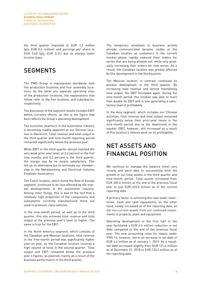the third quarter improved to EUR 1.3 million (p/y: EUR 0.6 million) and earnings per share to EUR 0.40 (p/y: EUR 0.21) due to sharply lower income taxes.

### **SEGMENTS**

The PWO Group is represented worldwide with five production locations and four assembly locations. As the latter are separate operating sites of the production locations, the explanations that follow refer to the five locations and subsidiaries, respectively.

The discussion of the segment results includes EBIT before currency effects, as this is the figure that best reflects the Group's operating development.

The economic downturn in the automotive industry is becoming readily apparent at our German location in Oberkirch. Total revenue and total output in the third quarter and nine-month reporting period remained significantly below the previous year.

While EBIT in the third quarter almost reached the very weak prior-year level, at 2.6 percent in the first nine months and 3.2 percent in the third quarter, the margin was by no means satisfactory. This left us no alternative but to terminate our membership in the Metalworking and Electrical Industry Employer Association.

The Czech location, which forms the Rest of Europe segment, continued to be less affected by the market developments in the automotive industry. Among other things, this is due to the fact that a relatively high proportion of the components and subsystems currently manufactured there are used in premium class vehicles.

In the nine-month period, as well as in the third quarter, this site achieved total revenue and total output at the previous year's level or higher. The same is true for the EBIT.

In the North America segment, which consists of the Canadian and Mexican locations, total revenue in the nine-month period was significantly higher year-on-year, as the Canadian location invoiced a high volume of tools in the second quarter. Total output and EBIT remained below the previous year's figures, as planned, mainly as a result of the business performance in the third quarter.

The temporary slowdown in business activity already communicated became visible at the Canadian location as customers in the current market phase rapidly reduced their orders for series that are being phased-out, while only gradually increasing their orders for new series. As a result, the Canadian location was greatly affected by this development in the third quarter.

The Mexican location, in contrast, continued its positive development in the third quarter. By increasing total revenue and almost maintaining total output, the EBIT increased again. During the nine-month period, this location was able to more than double its EBIT and is now generating a satisfactory level of profitability.

In the Asia segment, which includes our Chinese activities, total revenue and total output remained significantly below their prior-year levels in the nine-month period due to the downtrend in the market. EBIT, however, still increased as a result of this location's intense work on its profitability.

### NET ASSETS AND FINANCIAL POSITION

We continue to manage the balance sheet very closely and were able to successfully limit the growth in our total assets in the third quarter and nine-month period. Total assets increased from EUR 405.6 million at the end of the previous fiscal year to just EUR 423.6 million as of the current reporting date.

A primary factor in achieving this was lower inventories. Cash and cash equivalents, on the other hand, visibly increased as of the reporting date, as did non-current assets from our continued investments in property, plant and equipment.

Operating development in the first half of the year facilitated a EUR 4.6 million reduction in net debt compared to the end of the previous fiscal year. The new accounting rules for leases under IFRS 16, however, led to an increase in net debt of EUR 6.4 million as of January 1, 2019. As a result, net debt increased slightly from EUR 131.4 million as of December 31, 2018 to EUR 133.2 million as of the reporting date.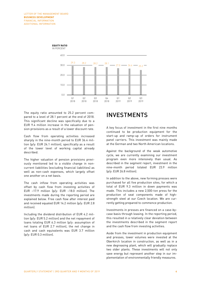

The equity ratio amounted to 25.2 percent compared to a level of 28.1 percent at the end of 2018. This significant decline was specifically due to a EUR 9.4 million increase in the valuation of pension provisions as a result of a lower discount rate.

Cash flow from operating activities increased sharply in the nine-month period to EUR 36.4 million (p/y: EUR 24.1 million), specifically as a result of the lower level of working capital already described.

The higher valuation of pension provisions previously mentioned led to a visible change in noncurrent liabilities (excluding financial liabilities) as well as non-cash expenses, which largely offset one another on a net basis.

The cash inflow from operating activities was offset by cash flow from investing activities of EUR –17.9 million (p/y: EUR –18.0 million). The investments made during the reporting period are explained below. Free cash flow after interest paid and received equaled EUR 14.2 million (p/y: EUR 2.8 million).

Including the dividend distribution of EUR 4.2 million (p/y: EUR 5.2 million) and the net repayment of loans totaling EUR 6.3 million (p/y: assumption of net loans of EUR 2.7 million), the net change in cash and cash equivalents was EUR 3.7 million (p/y: EUR 0.3 million).

### INVESTMENTS

A key focus of investment in the first nine months continued to be production equipment for the start-up and ramp-up of orders for instrument panel carriers. This investment was mainly made at the German and two North American locations.

Against the background of the weak automotive cycle, we are currently examining our investment program even more intensively than usual. As described in the segment report, investment in the nine-month period totaled EUR 23.9 million (p/y: EUR 26.8 million).

In addition to the above, new forming presses were purchased for all five production sites, for which a total of EUR 9.3 million in down payments was made. This includes a new 2,500-ton press for the production of seat components made of highstrength steel at our Czech location. We are currently getting prepared to commence production.

Investments in presses are financed on a case-bycase basis through leasing. In the reporting period, this resulted in a relatively clear deviation between the investments described in the segment report and the cash flow from investing activities.

Aside from the investment in production equipment and presses, lower volumes were invested at the Oberkirch location in construction, as well as in a new degreasing plant, which will gradually replace two older plants. These investments will not only save energy but represent another step in our implementation of environmentally friendly measures.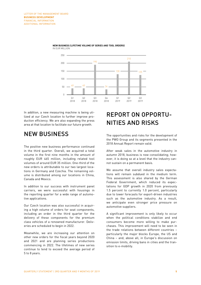



In addition, a new measuring machine is being utilized at our Czech location to further improve production efficiency. We are also expanding the press area at that location to facilitate our future growth.

### NEW BUSINESS

The positive new business performance continued in the third quarter. Overall, we acquired a total volume in the first nine months in the amount of roughly EUR 465 million, including related tool volumes of around EUR 35 million. One-third of the new orders is attributable to our two largest locations in Germany and Czechia. The remaining volume is distributed among our locations in China, Canada and Mexico.

In addition to our success with instrument panel carriers, we were successful with housings in the reporting quarter for a wide range of automotive applications.

Our Czech location was also successful in acquiring a high volume of orders for seat components, including an order in the third quarter for the delivery of these components for the premium class vehicles of a renowned manufacturer. Deliveries are scheduled to begin in 2022.

Meanwhile, we are increasing our attention on other new orders for the fiscal years beyond 2020 and 2021 and are planning series productions commencing in 2022. The lifetimes of new series continue to tend to exceed the average period of 5 to 8 years.

### REPORT ON OPPORTU-NITIES AND RISKS

The opportunities and risks for the development of the PWO Group and its segments presented in the 2018 Annual Report remain valid.

After weak sales in the automotive industry in autumn 2018, business is now consolidating; however, it is doing so at a level that the industry cannot sustain on a permanent basis.

We assume that overall industry sales expectations will remain subdued in the medium term. This assessment is also shared by the German Federal Government, which reduced its expectations for GDP growth in 2020 from previously 1.5 percent to currently 1.0 percent, particularly due to lower forecasts for export-driven industries such as the automotive industry. As a result, we anticipate even stronger price pressure on automotive suppliers.

A significant improvement is only likely to occur when the political conditions stabilize and end consumers become more willing to make purchases. This improvement will need to be seen in the trade relations between different countries – particularly the major blocks Europe, the US and China – and, above all, in Europe's discussion on emission limits, driving bans in cities and the transition to e-mobility.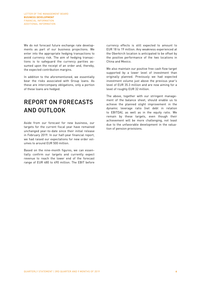We do not forecast future exchange rate developments as part of our business projections. We enter into the appropriate hedging transactions to avoid currency risk. The aim of hedging transactions is to safeguard the currency parities assumed upon the receipt of an order and, thereby, the expected contribution margins.

In addition to the aforementioned, we essentially bear the risks associated with Group loans. As these are intercompany obligations, only a portion of these loans are hedged.

### REPORT ON FORECASTS AND OUTLOOK

Aside from our forecast for new business, our targets for the current fiscal year have remained unchanged year-to-date since their initial release in February 2019. In our half-year financial report, we had raised our expectations for new order volumes to around EUR 500 million.

Based on the nine-month figures, we can essentially confirm our targets and currently expect revenue to reach the lower end of the forecast range of EUR 480 to 490 million. The EBIT before

currency effects is still expected to amount to EUR 18 to 19 million. Any weakness experienced at the Oberkirch location is anticipated to be offset by the positive performance of the two locations in China and Mexico.

We also maintain our positive free cash flow target supported by a lower level of investment than originally planned. Previously we had expected investment volume just above the previous year's level of EUR 35.3 million and are now aiming for a level of roughly EUR 32 million.

The above, together with our stringent management of the balance sheet, should enable us to achieve the planned slight improvement in the dynamic leverage ratio (net debt in relation to EBITDA), as well as in the equity ratio. We remain by these targets, even though their achievement will be more challenging, not least due to the unfavorable development in the valuation of pension provisions.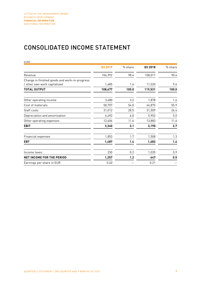### CONSOLIDATED INCOME STATEMENT

| <b>EURK</b>                                                                   |         |         |         |         |
|-------------------------------------------------------------------------------|---------|---------|---------|---------|
|                                                                               | Q3 2019 | % share | Q3 2018 | % share |
| Revenue                                                                       | 106,992 | 98.4    | 108,011 | 90.4    |
| Change in finished goods and work-in-progress<br>/ other own work capitalized | 1,685   | 1.6     | 11,520  | 9.6     |
| <b>TOTAL OUTPUT</b>                                                           | 108,677 | 100.0   | 119,531 | 100.0   |
| Other operating income                                                        | 3,480   | 3.2     | 1,878   | 1.6     |
| Cost of materials                                                             | 58,707  | 54.0    | 66,875  | 55.9    |
| Staff costs                                                                   | 31,012  | 28.5    | 31,509  | 26.4    |
| Depreciation and amortization                                                 | 6,492   | 6.0     | 5,952   | 5.0     |
| Other operating expenses                                                      | 12,606  | 11.6    | 13,883  | 11.6    |
| <b>EBIT</b>                                                                   | 3,340   | 3.1     | 3,190   | 2.7     |
| Financial expenses                                                            | 1,853   | 1.7     | 1,508   | 1.3     |
| <b>EBT</b>                                                                    | 1,487   | 1.4     | 1,682   | 1.4     |
| Income taxes                                                                  | 230     | 0.2     | 1,035   | 0.9     |
| <b>NET INCOME FOR THE PERIOD</b>                                              | 1,257   | 1.2     | 647     | 0.5     |
| Earnings per share in EUR                                                     | 0.40    |         | 0.21    |         |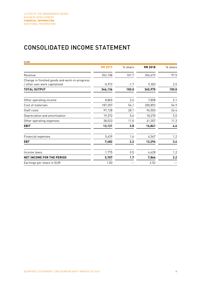### CONSOLIDATED INCOME STATEMENT

| <b>EURK</b>                                   |          |         |         |         |
|-----------------------------------------------|----------|---------|---------|---------|
|                                               | 9M 2019  | % share | 9M 2018 | % share |
| Revenue                                       | 352,108  | 101.7   | 356,672 | 97.5    |
| Change in finished goods and work-in-progress |          |         |         |         |
| / other own work capitalized                  | $-5,972$ | $-1.7$  | 9,303   | 2.5     |
| <b>TOTAL OUTPUT</b>                           | 346,136  | 100.0   | 365,975 | 100.0   |
| Other operating income                        | 8,865    | 2.6     | 7,858   | 2.1     |
| Cost of materials                             | 187,357  | 54.1    | 200,892 | 54.9    |
| Staff costs                                   | 97,128   | 28.1    | 96,503  | 26.4    |
| Depreciation and amortization                 | 19,372   | 5.6     | 18,270  | 5.0     |
| Other operating expenses                      | 38,023   | 11.0    | 41,307  | 11.3    |
| <b>EBIT</b>                                   | 13,121   | 3.8     | 16,861  | 4.6     |
| Financial expenses                            | 5,639    | 1.6     | 4,567   | 1.2     |
| <b>EBT</b>                                    | 7,482    | 2.2     | 12,294  | 3.4     |
| Income taxes                                  | 1,775    | 0.5     | 4,428   | 1.2     |
| <b>NET INCOME FOR THE PERIOD</b>              | 5,707    | 1.7     | 7,866   | 2.2     |
| Earnings per share in EUR                     | 1.83     |         | 2.52    |         |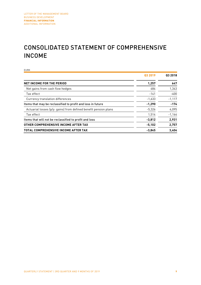### CONSOLIDATED STATEMENT OF COMPREHENSIVE INCOME

EURK **Q3 2019 Q3 2018 NET INCOME FOR THE PERIOD 1,257 647** Net gains from cash flow hedges and the set of the set of the 484 1,343  $\frac{1}{400}$  Tax effect  $\frac{1}{400}$ Currency translation differences and the control of the control of the control of the control of the control of the control of the control of the control of the control of the control of the control of the control of the c Items that may be reclassified to profit and loss in future **1998 -1,290** -174 Actuarial losses (p/y: gains) from defined benefit pension plans -5,326 4,095  $\frac{1}{514}$  -1,164  $\frac{1}{514}$  -1,164 Items that will not be reclassified to profit and loss **-3,812 2,931 OTHER COMPREHENSIVE INCOME AFTER TAX -5,102 2,757 TOTAL COMPREHENSIVE INCOME AFTER TAX -3,845 3,404**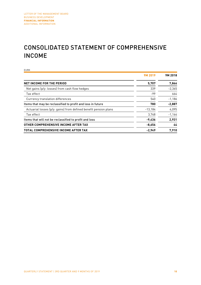### CONSOLIDATED STATEMENT OF COMPREHENSIVE INCOME

EURK **9M 2019 9M 2018 NET INCOME FOR THE PERIOD 5,707 7,866** Net gains (p/y: losses) from cash flow hedges 339 -2,365  $\frac{1}{2}$  Tax effect  $\frac{664}{4}$ Currency translation differences 540 -1,186 Items that may be reclassified to profit and loss in future **780 -2,887** Actuarial losses (p/y: gains) from defined benefit pension plans -13,184 - 4,095 Tax effect 3,748 -1,164 Items that will not be reclassified to profit and loss **-9,436 2,931 OTHER COMPREHENSIVE INCOME AFTER TAX -8,656 44 TOTAL COMPREHENSIVE INCOME AFTER TAX -2,949 7,910**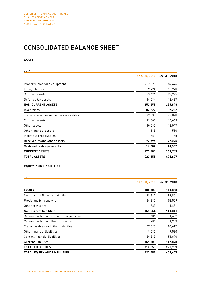### CONSOLIDATED BALANCE SHEET

### **ASSETS**

| <b>EURK</b>                             |               |               |
|-----------------------------------------|---------------|---------------|
|                                         | Sep. 30, 2019 | Dec. 31, 2018 |
| Property, plant and equipment           | 202,321       | 189,496       |
| Intangible assets                       | 9,924         | 10,990        |
| Contract assets                         | 23,476        | 22,925        |
| Deferred tax assets                     | 16,534        | 12,437        |
| <b>NON-CURRENT ASSETS</b>               | 252,255       | 235,848       |
| Inventories                             | 82,222        | 87,282        |
| Trade receivables and other receivables | 42,535        | 42,090        |
| Contract assets                         | 19,500        | 16,663        |
| Other assets                            | 10,065        | 12,047        |
| Other financial assets                  | 145           | 510           |
| Income tax receivables                  | 551           | 785           |
| Receivables and other assets            | 72,796        | 72,095        |
| Cash and cash equivalents               | 16,282        | 10,382        |
| <b>CURRENT ASSETS</b>                   | 171,300       | 169,759       |
| <b>TOTAL ASSETS</b>                     | 423,555       | 405,607       |

### **EQUITY AND LIABILITIES**

EURK

|                                            | Sep. 30, 2019 | Dec. 31, 2018 |
|--------------------------------------------|---------------|---------------|
| <b>EQUITY</b>                              | 106,700       | 113,868       |
| Non-current financial liabilities          | 89,641        | 89,851        |
| Provisions for pensions                    | 66,330        | 52,509        |
| Other provisions                           | 1,583         | 1,481         |
| Non-current liabilities                    | 157,554       | 143,841       |
| Current portion of provisions for pensions | 1,604         | 1,602         |
| Current portion of other provisions        | 1,281         | 1,209         |
| Trade payables and other liabilities       | 87,023        | 83,617        |
| Other financial liabilities                | 9,530         | 9,580         |
| Current financial liabilities              | 59,863        | 51,890        |
| <b>Current liabilities</b>                 | 159,301       | 147,898       |
| <b>TOTAL LIABILITIES</b>                   | 316,855       | 291,739       |
| <b>TOTAL EQUITY AND LIABILITIES</b>        | 423,555       | 405.607       |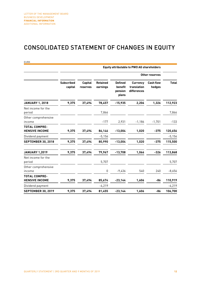### CONSOLIDATED STATEMENT OF CHANGES IN EQUITY

|                                               |                              |                            |                             |                                               | <b>Equity attributable to PWO AG shareholders</b> |                            |              |
|-----------------------------------------------|------------------------------|----------------------------|-----------------------------|-----------------------------------------------|---------------------------------------------------|----------------------------|--------------|
|                                               | Other reserves               |                            |                             |                                               |                                                   |                            |              |
|                                               | <b>Subscribed</b><br>capital | <b>Capital</b><br>reserves | <b>Retained</b><br>earnings | <b>Defined</b><br>benefit<br>pension<br>plans | <b>Currency</b><br>translation<br>differences     | <b>Cash flow</b><br>hedges | <b>Total</b> |
| <b>JANUARY 1, 2018</b>                        | 9,375                        | 37,494                     | 78,457                      | $-15,935$                                     | 2,206                                             | 1,326                      | 112,923      |
| Net income for the<br>period                  |                              |                            | 7,866                       |                                               |                                                   |                            | 7,866        |
| Other comprehensive<br>income                 |                              |                            | $-177$                      | 2,931                                         | $-1,186$                                          | $-1,701$                   | $-133$       |
| <b>TOTAL COMPRE-</b><br><b>HENSIVE INCOME</b> | 9,375                        | 37,494                     | 86,146                      | $-13,004$                                     | 1,020                                             | $-375$                     | 120,656      |
| Dividend payment                              |                              |                            | $-5,156$                    |                                               |                                                   |                            | $-5,156$     |
| <b>SEPTEMBER 30, 2018</b>                     | 9,375                        | 37,494                     | 80,990                      | $-13,004$                                     | 1,020                                             | $-375$                     | 115,500      |
| <b>JANUARY 1,2019</b>                         | 9,375                        | 37,494                     | 79,967                      | $-13,708$                                     | 1,066                                             | $-326$                     | 113,868      |
| Net income for the<br>period                  |                              |                            | 5,707                       |                                               |                                                   |                            | 5,707        |
| Other comprehensive<br>income                 |                              |                            | 0                           | $-9,436$                                      | 540                                               | 240                        | $-8,656$     |
| <b>TOTAL COMPRE-</b><br><b>HENSIVE INCOME</b> | 9,375                        | 37,494                     | 85,674                      | $-23,144$                                     | 1,606                                             | -86                        | 110,919      |
| Dividend payment                              |                              |                            | $-4,219$                    |                                               |                                                   |                            | $-4,219$     |
| <b>SEPTEMBER 30, 2019</b>                     | 9,375                        | 37,494                     | 81,455                      | $-23,144$                                     | 1,606                                             | -86                        | 106,700      |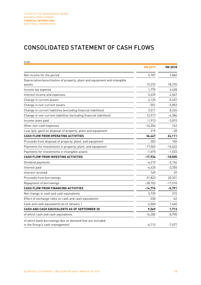### CONSOLIDATED STATEMENT OF CASH FLOWS

| <b>EURK</b>                                                                                |           |           |
|--------------------------------------------------------------------------------------------|-----------|-----------|
|                                                                                            | 9M 2019   | 9M 2018   |
| Net income for the period                                                                  | 5,707     | 7,866     |
| Depreciation/amortization of property, plant and equipment and intangible                  |           |           |
| assets                                                                                     | 19,372    | 18,270    |
| Income tax expense                                                                         | 1,775     | 4,428     |
| Interest income and expenses                                                               | 5,639     | 4,567     |
| Change in current assets                                                                   | 4,125     | $-5,407$  |
| Change in non-current assets                                                               | $-551$    | $-5,853$  |
| Change in current liabilities (excluding financial liabilities)                            | 3,511     | 8,324     |
| Change in non-current liabilities (excluding financial liabilities)                        | 12,917    | $-4,384$  |
| Income taxes paid                                                                          | $-1,913$  | $-3,815$  |
| Other non-cash expenses                                                                    | $-14,354$ | 143       |
| Loss (p/y: gain) on disposal of property, plant and equipment                              | 219       | $-28$     |
| <b>CASH FLOW FROM OPERATING ACTIVITIES</b>                                                 | 36,447    | 24,111    |
| Proceeds from disposal of property, plant, and equipment                                   | 203       | 150       |
| Payments for investments in property, plant, and equipment                                 | $-17,062$ | $-16,622$ |
| Payments for investments in intangible assets                                              | $-1,075$  | $-1,533$  |
| <b>CASH FLOW FROM INVESTING ACTIVITIES</b>                                                 | $-17,934$ | $-18,005$ |
| Dividend payments                                                                          | $-4,219$  | $-5,156$  |
| Interest paid                                                                              | $-4,425$  | $-3,355$  |
| Interest received                                                                          | 149       | 29        |
| Proceeds from borrowings                                                                   | 21,823    | 20,201    |
| Repayment of borrowings                                                                    | $-28,102$ | $-17,510$ |
| <b>CASH FLOW FROM FINANCING ACTIVITIES</b>                                                 | $-14,774$ | $-5,791$  |
| Net change in cash and cash equivalents                                                    | 3,739     | 315       |
| Effect of exchange rates on cash and cash equivalents                                      | $-230$    | -42       |
| Cash and cash equivalents as of January 1                                                  | 6,060     | 1,440     |
| CASH AND CASH EQUIVALENTS AS OF SEPTEMBER 30                                               | 9,569     | 1,713     |
| of which cash and cash equivalents                                                         | 16,282    | 8,790     |
| of which bank borrowings due on demand that are included<br>in the Group's cash management | $-6,713$  | $-7,077$  |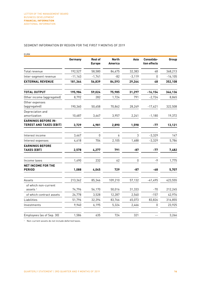#### SEGMENT INFORMATION BY REGION FOR THE FIRST 9 MONTHS OF 2019

| <b>EURK</b>                                                  |           |                                 |                                |          |                            |            |
|--------------------------------------------------------------|-----------|---------------------------------|--------------------------------|----------|----------------------------|------------|
|                                                              | Germany   | <b>Rest of</b><br><b>Europe</b> | <b>North</b><br><b>America</b> | Asia     | Consolida-<br>tion effects | Group      |
| Total revenue                                                | 192,527   | 58,580                          | 84,675                         | 32,383   | 48                         | 368,213    |
| Inter-segment revenue                                        | $-11,163$ | $-1,741$                        | $-82$                          | $-3,119$ | $\mathbf 0$                | $-16, 105$ |
| <b>EXTERNAL REVENUE</b>                                      | 181,364   | 56,839                          | 84,593                         | 29,264   | 48                         | 352,108    |
| <b>TOTAL OUTPUT</b>                                          | 195,984   | 59,024                          | 75,985                         | 31,297   | $-16,154$                  | 346,136    |
| Other income (aggregated)                                    | 8,792     | 282                             | 1,724                          | 791      | $-2,724$                   | 8,865      |
| Other expenses<br>(aggregated)                               | 190,360   | 50,658                          | 70,862                         | 28,249   | $-17,621$                  | 322,508    |
| Depreciation and<br>amortization                             | 10,687    | 3,667                           | 3,957                          | 2,241    | $-1,180$                   | 19,372     |
| <b>EARNINGS BEFORE IN-</b><br><b>TEREST AND TAXES (EBIT)</b> | 3,729     | 4,981                           | 2,890                          | 1,598    | -77                        | 13,121     |
| Interest income                                              | 3,467     | 0                               | 6                              | 3        | $-3,329$                   | 147        |
| Interest expenses                                            | 4,618     | 704                             | 2,105                          | 1,688    | $-3,329$                   | 5,786      |
| <b>EARNINGS BEFORE</b><br><b>TAXES (EBT)</b>                 | 2,578     | 4,277                           | 791                            | -87      | -77                        | 7,482      |
| Income taxes                                                 | 1,490     | 232                             | 62                             | 0        | $-9$                       | 1,775      |
| <b>NET INCOME FOR THE</b><br><b>PERIOD</b>                   | 1,088     | 4,045                           | 729                            | -87      | $-68$                      | 5,707      |
| Assets                                                       | 213,362   | 85,346                          | 109,210                        | 57,132   | $-41,495$                  | 423,555    |
| of which non-current<br>assets <sup>1</sup>                  | 74,796    | 56,170                          | 50,016                         | 31,333   | $-70$                      | 212,245    |
| of which contract assets                                     | 24,778    | 3,528                           | 12,287                         | 2,540    | $-157$                     | 42,976     |
| Liabilities                                                  | 51,796    | 32,394                          | 83,766                         | 65,073   | 83,826                     | 316,855    |
| Investments                                                  | 9,940     | 6,195                           | 5,324                          | 2,466    | 0                          | 23,925     |
| Employees (as of Sep. 30)                                    | 1,586     | 635                             | 724                            | 321      |                            | 3,266      |

<sup>1</sup> Non-current assets do not include deferred taxes.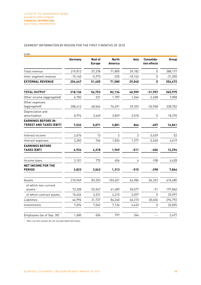#### SEGMENT INFORMATION BY REGION FOR THE FIRST 9 MONTHS OF 2018

| Germany   | <b>Rest of</b><br><b>Europe</b> | <b>North</b><br><b>America</b> | Asia      | Consolida-<br>tion effects | Group     |
|-----------|---------------------------------|--------------------------------|-----------|----------------------------|-----------|
| 219,812   |                                 | 71,805                         | 39,182    | 0                          | 388,177   |
| $-15,165$ | $-5,973$                        | $-225$                         | $-10,142$ | 0                          | $-31,505$ |
| 204,647   | 51,405                          | 71,580                         | 29,040    | 0                          | 356,672   |
| 218,136   | 56,753                          | 82,134                         | 40,909    | $-31,957$                  | 365,975   |
| 6,782     | 331                             | 1,787                          | 1,366     | $-2,408$                   | 7,858     |
| 208,412   | 48,564                          | 76,291                         | 39,393    | $-33,958$                  | 338,702   |
| 8,974     | 3,449                           | 3,829                          | 2,018     | 0                          | 18,270    |
| 7,532     | 5,071                           | 3,801                          | 864       | -407                       | 16,861    |
| 2,674     | 13                              | 2                              | 2         | $-2,639$                   | 52        |
| 3,282     | 766                             | 1,834                          | 1,377     | $-2,640$                   | 4,619     |
| 6,924     | 4,318                           | 1,969                          | $-511$    | -406                       | 12,294    |
| 3,101     | 775                             | 656                            | 4         | $-108$                     | 4,428     |
| 3,823     | 3,543                           | 1,313                          | $-515$    | $-298$                     | 7,866     |
| 210,969   | 83,253                          | 103,601                        | 66,984    | $-54,322$                  | 410,485   |
| 73,338    | 52,547                          | 41,489                         | 30,577    | $-91$                      | 197,860   |
| 15,454    | 3,231                           | 4,215                          | 3,097     | $\Omega$                   | 25,997    |
| 46,996    | 31,737                          | 84,240                         | 66,215    | 65,604                     | 294,792   |
| 7,694     | 7,562                           | 7,136                          | 4,433     | 0                          | 26,825    |
| 1,680     | 656                             | 797                            | 344       | $ -$                       | 3,477     |
|           |                                 | 57,378                         |           |                            |           |

<sup>1</sup> Non-current assets do not include deferred taxes.